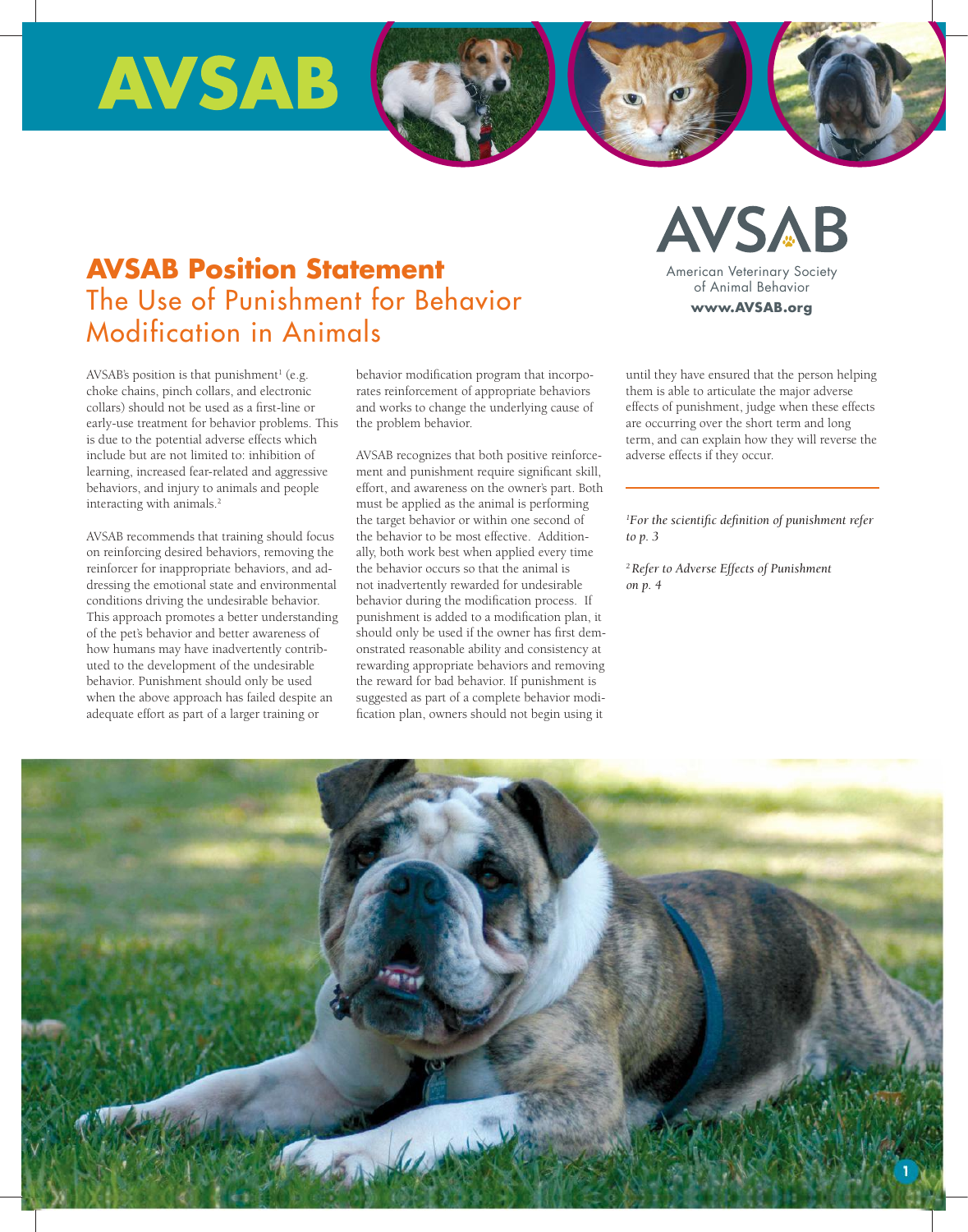# **AVSAB**

# **AVSAB Position Statement** The Use of Punishment for Behavior Modification in Animals

AVSAB's position is that punishment<sup>1</sup> (e.g. choke chains, pinch collars, and electronic collars) should not be used as a first-line or early-use treatment for behavior problems. This is due to the potential adverse effects which include but are not limited to: inhibition of learning, increased fear-related and aggressive behaviors, and injury to animals and people interacting with animals.<sup>2</sup>

AVSAB recommends that training should focus on reinforcing desired behaviors, removing the reinforcer for inappropriate behaviors, and addressing the emotional state and environmental conditions driving the undesirable behavior. This approach promotes a better understanding of the pet's behavior and better awareness of how humans may have inadvertently contributed to the development of the undesirable behavior. Punishment should only be used when the above approach has failed despite an adequate effort as part of a larger training or

behavior modification program that incorporates reinforcement of appropriate behaviors and works to change the underlying cause of the problem behavior.

AVSAB recognizes that both positive reinforcement and punishment require significant skill, effort, and awareness on the owner's part. Both must be applied as the animal is performing the target behavior or within one second of the behavior to be most effective. Additionally, both work best when applied every time the behavior occurs so that the animal is not inadvertently rewarded for undesirable behavior during the modification process. If punishment is added to a modification plan, it should only be used if the owner has first demonstrated reasonable ability and consistency at rewarding appropriate behaviors and removing the reward for bad behavior. If punishment is suggested as part of a complete behavior modification plan, owners should not begin using it

until they have ensured that the person helping them is able to articulate the major adverse effects of punishment, judge when these effects are occurring over the short term and long term, and can explain how they will reverse the adverse effects if they occur.

 $MCRP_{\text{max}}$ www<mark>.AVS</mark>AB.org

American Veterinary Society of Animal Behavior

**AVSAB** 

*1 For the scientific definition of punishment refer to p. 3* 

*2 Refer to Adverse Effects of Punishment on p. 4* 

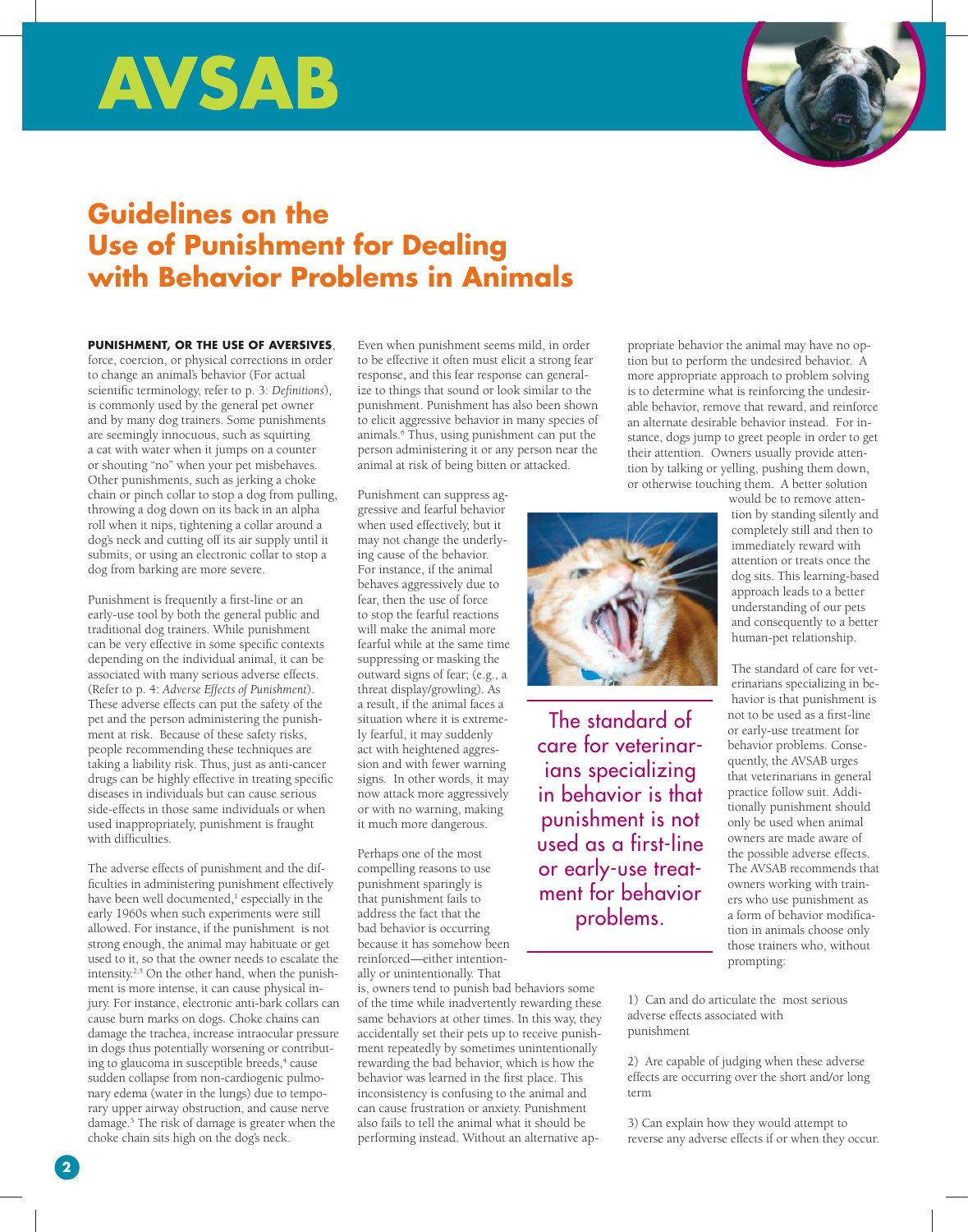# **AVSAB**



# **Guidelines on the Use of Punishment for Dealing with Behavior Problems in Animals**

## **PUNiShmENt, OR thE USE Of AVERSiVES**,

force, coercion, or physical corrections in order to change an animal's behavior (For actual scientific terminology, refer to p. 3: *Definitions*), is commonly used by the general pet owner and by many dog trainers. Some punishments are seemingly innocuous, such as squirting a cat with water when it jumps on a counter or shouting "no" when your pet misbehaves. Other punishments, such as jerking a choke chain or pinch collar to stop a dog from pulling, throwing a dog down on its back in an alpha roll when it nips, tightening a collar around a dog's neck and cutting off its air supply until it submits, or using an electronic collar to stop a dog from barking are more severe.

Punishment is frequently a first-line or an early-use tool by both the general public and traditional dog trainers. While punishment can be very effective in some specific contexts depending on the individual animal, it can be associated with many serious adverse effects. (Refer to p. 4: *Adverse Effects of Punishment*). These adverse effects can put the safety of the pet and the person administering the punishment at risk. Because of these safety risks, people recommending these techniques are taking a liability risk. Thus, just as anti-cancer drugs can be highly effective in treating specific diseases in individuals but can cause serious side-effects in those same individuals or when used inappropriately, punishment is fraught with difficulties.

The adverse effects of punishment and the difficulties in administering punishment effectively have been well documented,<sup>1</sup> especially in the early 1960s when such experiments were still allowed. For instance, if the punishment is not strong enough, the animal may habituate or get used to it, so that the owner needs to escalate the intensity.2,3 On the other hand, when the punishment is more intense, it can cause physical injury. For instance, electronic anti-bark collars can cause burn marks on dogs. Choke chains can damage the trachea, increase intraocular pressure in dogs thus potentially worsening or contributing to glaucoma in susceptible breeds,<sup>4</sup> cause sudden collapse from non-cardiogenic pulmonary edema (water in the lungs) due to temporary upper airway obstruction, and cause nerve damage.5 The risk of damage is greater when the choke chain sits high on the dog's neck.

Even when punishment seems mild, in order to be effective it often must elicit a strong fear response, and this fear response can generalize to things that sound or look similar to the punishment. Punishment has also been shown to elicit aggressive behavior in many species of animals.6 Thus, using punishment can put the person administering it or any person near the animal at risk of being bitten or attacked.

Punishment can suppress aggressive and fearful behavior when used effectively, but it may not change the underlying cause of the behavior. For instance, if the animal behaves aggressively due to fear, then the use of force to stop the fearful reactions will make the animal more fearful while at the same time suppressing or masking the outward signs of fear; (e.g., a threat display/growling). As a result, if the animal faces a situation where it is extremely fearful, it may suddenly act with heightened aggression and with fewer warning signs. In other words, it may now attack more aggressively or with no warning, making it much more dangerous.

Perhaps one of the most compelling reasons to use punishment sparingly is that punishment fails to address the fact that the bad behavior is occurring because it has somehow been reinforced—either intentionally or unintentionally. That

is, owners tend to punish bad behaviors some of the time while inadvertently rewarding these same behaviors at other times. In this way, they accidentally set their pets up to receive punishment repeatedly by sometimes unintentionally rewarding the bad behavior, which is how the behavior was learned in the first place. This inconsistency is confusing to the animal and can cause frustration or anxiety. Punishment also fails to tell the animal what it should be performing instead. Without an alternative appropriate behavior the animal may have no option but to perform the undesired behavior. A more appropriate approach to problem solving is to determine what is reinforcing the undesirable behavior, remove that reward, and reinforce an alternate desirable behavior instead. For instance, dogs jump to greet people in order to get their attention. Owners usually provide attention by talking or yelling, pushing them down, or otherwise touching them. A better solution



The standard of care for veterinarians specializing in behavior is that punishment is not used as a first-line or early-use treatment for behavior problems.

would be to remove attention by standing silently and completely still and then to immediately reward with attention or treats once the dog sits. This learning-based approach leads to a better understanding of our pets and consequently to a better human-pet relationship.

The standard of care for veterinarians specializing in behavior is that punishment is not to be used as a first-line or early-use treatment for behavior problems. Consequently, the AVSAB urges that veterinarians in general practice follow suit. Additionally punishment should only be used when animal owners are made aware of the possible adverse effects. The AVSAB recommends that owners working with trainers who use punishment as a form of behavior modification in animals choose only those trainers who, without prompting:

1) Can and do articulate the most serious adverse effects associated with punishment

2) Are capable of judging when these adverse effects are occurring over the short and/or long term

3) Can explain how they would attempt to reverse any adverse effects if or when they occur.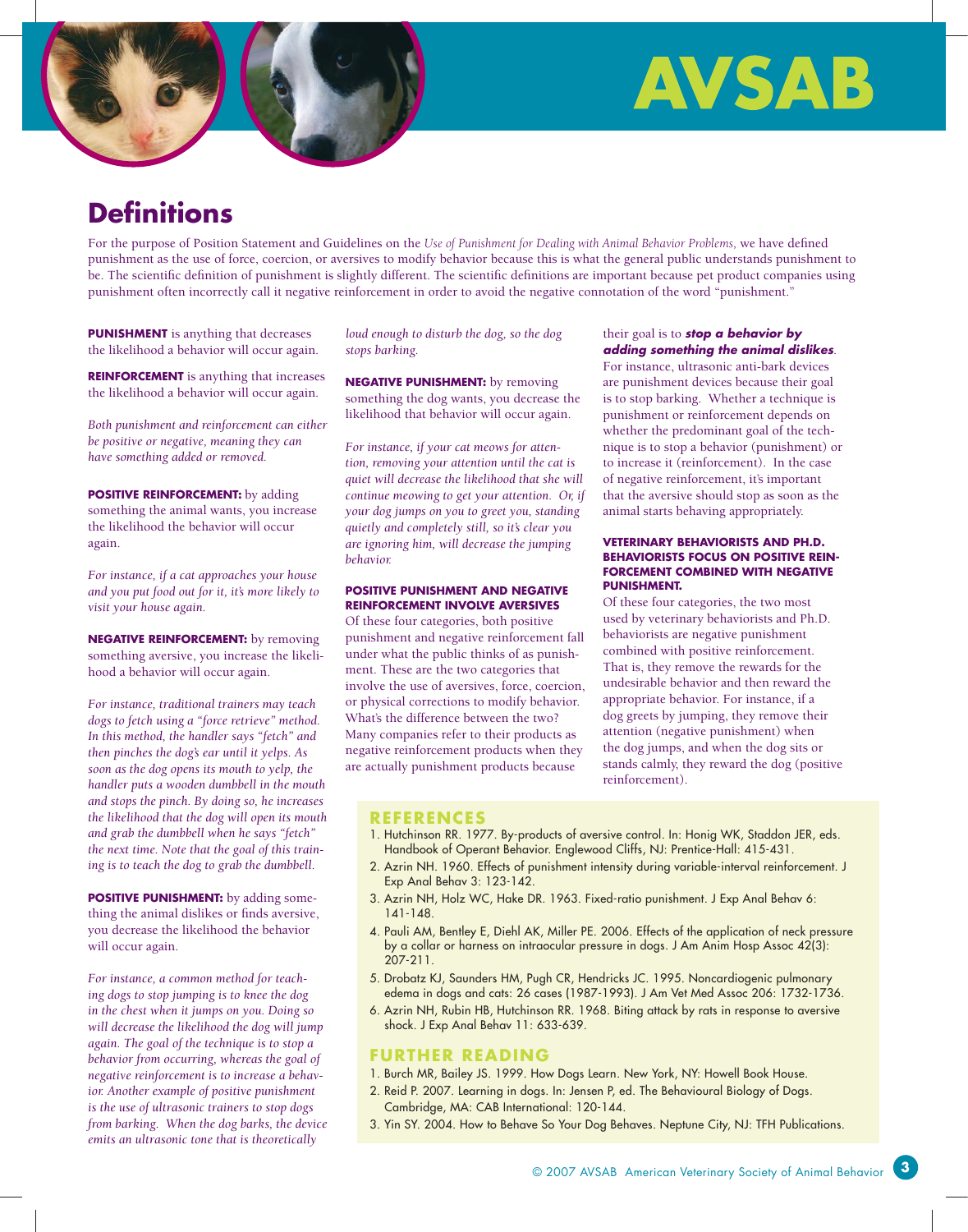



# **Definitions**

For the purpose of Position Statement and Guidelines on the *Use of Punishment for Dealing with Animal Behavior Problems,* we have defined punishment as the use of force, coercion, or aversives to modify behavior because this is what the general public understands punishment to be. The scientific definition of punishment is slightly different. The scientific definitions are important because pet product companies using punishment often incorrectly call it negative reinforcement in order to avoid the negative connotation of the word "punishment."

**PUNISHMENT** is anything that decreases the likelihood a behavior will occur again.

**REiNfORcEmENt** is anything that increases the likelihood a behavior will occur again.

*Both punishment and reinforcement can either be positive or negative, meaning they can have something added or removed.* 

**POSITIVE REINFORCEMENT:** by adding something the animal wants, you increase the likelihood the behavior will occur again.

*For instance, if a cat approaches your house and you put food out for it, it's more likely to visit your house again.*

**NEGAtiVE REiNfORcEmENt:** by removing something aversive, you increase the likelihood a behavior will occur again.

*For instance, traditional trainers may teach dogs to fetch using a "force retrieve" method. In this method, the handler says "fetch" and then pinches the dog's ear until it yelps. As soon as the dog opens its mouth to yelp, the handler puts a wooden dumbbell in the mouth and stops the pinch. By doing so, he increases the likelihood that the dog will open its mouth and grab the dumbbell when he says "fetch" the next time. Note that the goal of this training is to teach the dog to grab the dumbbell.* 

**POSITIVE PUNISHMENT:** by adding something the animal dislikes or finds aversive, you decrease the likelihood the behavior will occur again.

*For instance, a common method for teaching dogs to stop jumping is to knee the dog in the chest when it jumps on you. Doing so will decrease the likelihood the dog will jump again. The goal of the technique is to stop a behavior from occurring, whereas the goal of negative reinforcement is to increase a behavior. Another example of positive punishment is the use of ultrasonic trainers to stop dogs from barking. When the dog barks, the device emits an ultrasonic tone that is theoretically* 

*loud enough to disturb the dog, so the dog stops barking.*

**NEGATIVE PUNISHMENT:** by removing something the dog wants, you decrease the likelihood that behavior will occur again.

*For instance, if your cat meows for attention, removing your attention until the cat is quiet will decrease the likelihood that she will continue meowing to get your attention. Or, if your dog jumps on you to greet you, standing quietly and completely still, so it's clear you are ignoring him, will decrease the jumping behavior.*

#### **POSitiVE PUNiShmENt AND NEGAtiVE REiNfORcEmENt iNVOlVE AVERSiVES**

Of these four categories, both positive punishment and negative reinforcement fall under what the public thinks of as punishment. These are the two categories that involve the use of aversives, force, coercion, or physical corrections to modify behavior. What's the difference between the two? Many companies refer to their products as negative reinforcement products when they are actually punishment products because

### their goal is to *stop a behavior by adding something the animal dislikes*.

For instance, ultrasonic anti-bark devices are punishment devices because their goal is to stop barking. Whether a technique is punishment or reinforcement depends on whether the predominant goal of the technique is to stop a behavior (punishment) or to increase it (reinforcement). In the case of negative reinforcement, it's important that the aversive should stop as soon as the animal starts behaving appropriately.

#### **VEtERiNARY BEhAViORiStS AND Ph.D. BEhAViORiStS fOcUS ON POSitiVE REiNfORcEmENt cOmBiNED with NEGAtiVE PUNiShmENt.**

Of these four categories, the two most used by veterinary behaviorists and Ph.D. behaviorists are negative punishment combined with positive reinforcement. That is, they remove the rewards for the undesirable behavior and then reward the appropriate behavior. For instance, if a dog greets by jumping, they remove their attention (negative punishment) when the dog jumps, and when the dog sits or stands calmly, they reward the dog (positive reinforcement).

## **REfERENcES**

- 1. Hutchinson RR. 1977. By-products of aversive control. In: Honig WK, Staddon JER, eds. Handbook of Operant Behavior. Englewood Cliffs, NJ: Prentice-Hall: 415-431.
- 2. Azrin NH. 1960. Effects of punishment intensity during variable-interval reinforcement. J Exp Anal Behav 3: 123-142.
- 3. Azrin NH, Holz WC, Hake DR. 1963. Fixed-ratio punishment. J Exp Anal Behav 6: 141-148.
- 4. Pauli AM, Bentley E, Diehl AK, Miller PE. 2006. Effects of the application of neck pressure by a collar or harness on intraocular pressure in dogs. J Am Anim Hosp Assoc 42(3): 207-211.
- 5. Drobatz KJ, Saunders HM, Pugh CR, Hendricks JC. 1995. Noncardiogenic pulmonary edema in dogs and cats: 26 cases (1987-1993). J Am Vet Med Assoc 206: 1732-1736.
- 6. Azrin NH, Rubin HB, Hutchinson RR. 1968. Biting attack by rats in response to aversive shock. J Exp Anal Behav 11: 633-639.

## **fURthER READiNG**

- 1. Burch MR, Bailey JS. 1999. How Dogs Learn. New York, NY: Howell Book House.
- 2. Reid P. 2007. Learning in dogs. In: Jensen P, ed. The Behavioural Biology of Dogs. Cambridge, MA: CAB International: 120-144.
- 3. Yin SY. 2004. How to Behave So Your Dog Behaves. Neptune City, NJ: TFH Publications.